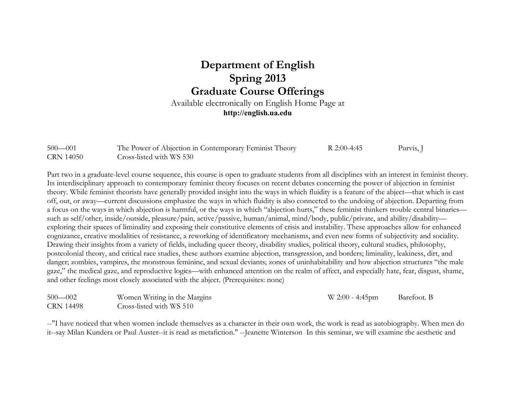## **Department of English Spring 2013 Graduate Course Offerings**

Available electronically on English Home Page at **http://english.ua.edu**

| $500 - 001$      | The Power of Abjection in Contemporary Feminist Theory | R 2:00-4:45 | Purvis, J |
|------------------|--------------------------------------------------------|-------------|-----------|
| <b>CRN 14050</b> | Cross-listed with WS 530                               |             |           |

Part two in a graduate-level course sequence, this course is open to graduate students from all disciplines with an interest in feminist theory. Its interdisciplinary approach to contemporary feminist theory focuses on recent debates concerning the power of abjection in feminist theory. While feminist theorists have generally provided insight into the ways in which fluidity is a feature of the abject—that which is cast off, out, or away—current discussions emphasize the ways in which fluidity is also connected to the undoing of abjection. Departing from a focus on the ways in which abjection is harmful, or the ways in which "abjection hurts," these feminist thinkers trouble central binaries such as self/other, inside/outside, pleasure/pain, active/passive, human/animal, mind/body, public/private, and ability/disability exploring their spaces of liminality and exposing their constitutive elements of crisis and instability. These approaches allow for enhanced cognizance, creative modalities of resistance, a reworking of identificatory mechanisms, and even new forms of subjectivity and sociality. Drawing their insights from a variety of fields, including queer theory, disability studies, political theory, cultural studies, philosophy, postcolonial theory, and critical race studies, these authors examine abjection, transgression, and borders; liminality, leakiness, dirt, and danger; zombies, vampires, the monstrous feminine, and sexual deviants; zones of uninhabitability and how abjection structures "the male gaze," the medical gaze, and reproductive logics—with enhanced attention on the realm of affect, and especially hate, fear, disgust, shame, and other feelings most closely associated with the abject. (Prerequisites: none)

| $500 - 002$      | Women Writing in the Margins | $W 2:00 - 4:45$ pm | Barefoot. B |
|------------------|------------------------------|--------------------|-------------|
| <b>CRN 14498</b> | Cross-listed with WS 510     |                    |             |

--"I have noticed that when women include themselves as a character in their own work, the work is read as autobiography. When men do it--say Milan Kundera or Paul Auster--it is read as metafiction." --Jeanette Winterson In this seminar, we will examine the aesthetic and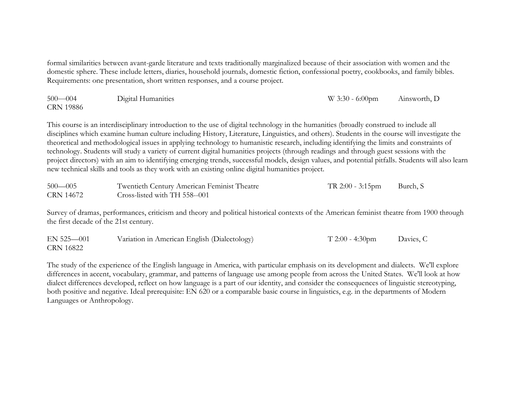formal similarities between avant-garde literature and texts traditionally marginalized because of their association with women and the domestic sphere. These include letters, diaries, household journals, domestic fiction, confessional poetry, cookbooks, and family bibles. Requirements: one presentation, short written responses, and a course project.

| $500 - 004$      | Digital Humanities | $W$ 3:30 - 6:00pm | Ainsworth, D |
|------------------|--------------------|-------------------|--------------|
| <b>CRN 19886</b> |                    |                   |              |

This course is an interdisciplinary introduction to the use of digital technology in the humanities (broadly construed to include all disciplines which examine human culture including History, Literature, Linguistics, and others). Students in the course will investigate the theoretical and methodological issues in applying technology to humanistic research, including identifying the limits and constraints of technology. Students will study a variety of current digital humanities projects (through readings and through guest sessions with the project directors) with an aim to identifying emerging trends, successful models, design values, and potential pitfalls. Students will also learn new technical skills and tools as they work with an existing online digital humanities project.

| $500 - 005$ | Twentieth Century American Feminist Theatre | TR 2:00 - 3:15pm | Burch, S |
|-------------|---------------------------------------------|------------------|----------|
| CRN 14672   | Cross-listed with TH 558--001               |                  |          |

Survey of dramas, performances, criticism and theory and political historical contexts of the American feminist theatre from 1900 through the first decade of the 21st century.

| $EN$ 525 $-001$ | Variation in American English (Dialectology) | $T 2:00 - 4:30 \text{pm}$ | Davies, C |
|-----------------|----------------------------------------------|---------------------------|-----------|
| CRN 16822       |                                              |                           |           |

The study of the experience of the English language in America, with particular emphasis on its development and dialects. We'll explore differences in accent, vocabulary, grammar, and patterns of language use among people from across the United States. We'll look at how dialect differences developed, reflect on how language is a part of our identity, and consider the consequences of linguistic stereotyping, both positive and negative. Ideal prerequisite: EN 620 or a comparable basic course in linguistics, e.g. in the departments of Modern Languages or Anthropology.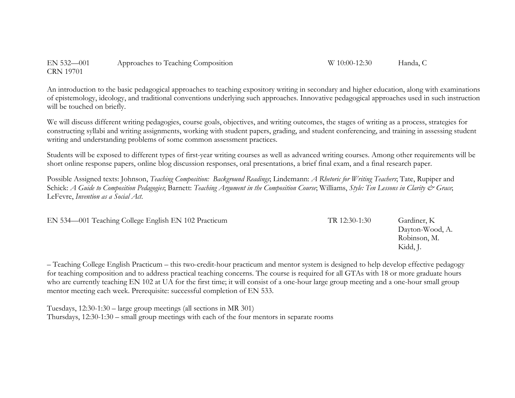EN 532—001 Approaches to Teaching Composition W 10:00-12:30 Handa, C CRN 19701

An introduction to the basic pedagogical approaches to teaching expository writing in secondary and higher education, along with examinations of epistemology, ideology, and traditional conventions underlying such approaches. Innovative pedagogical approaches used in such instruction will be touched on briefly.

We will discuss different writing pedagogies, course goals, objectives, and writing outcomes, the stages of writing as a process, strategies for constructing syllabi and writing assignments, working with student papers, grading, and student conferencing, and training in assessing student writing and understanding problems of some common assessment practices.

Students will be exposed to different types of first-year writing courses as well as advanced writing courses. Among other requirements will be short online response papers, online blog discussion responses, oral presentations, a brief final exam, and a final research paper.

Possible Assigned texts: Johnson, *Teaching Composition: Background Readings*; Lindemann: *A Rhetoric for Writing Teachers*; Tate, Rupiper and Schick: *A Guide to Composition Pedagogies*; Barnett: *Teaching Argument in the Composition Course*; Williams, *Style: Ten Lessons in Clarity & Grace*; LeFevre, *Invention as a Social Act*.

EN 534—001 Teaching College English EN 102 Practicum TR 12:30-1:30 Gardiner, K

Dayton-Wood, A. Robinson, M. Kidd, J.

– Teaching College English Practicum – this two-credit-hour practicum and mentor system is designed to help develop effective pedagogy for teaching composition and to address practical teaching concerns. The course is required for all GTAs with 18 or more graduate hours who are currently teaching EN 102 at UA for the first time; it will consist of a one-hour large group meeting and a one-hour small group mentor meeting each week. Prerequisite: successful completion of EN 533.

Tuesdays, 12:30-1:30 – large group meetings (all sections in MR 301) Thursdays, 12:30-1:30 – small group meetings with each of the four mentors in separate rooms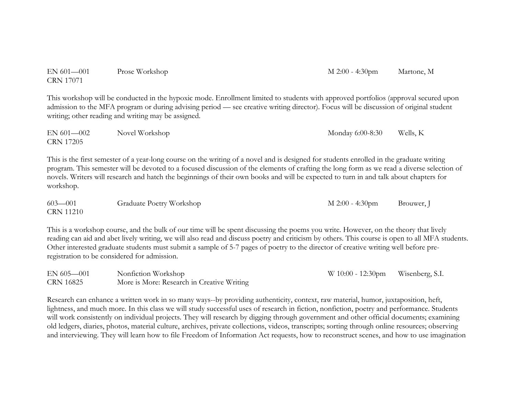| <b>CRN 17071</b>                |                                                                                                                                                                                                                                                                                                                                                                                                                                 |                    |            |
|---------------------------------|---------------------------------------------------------------------------------------------------------------------------------------------------------------------------------------------------------------------------------------------------------------------------------------------------------------------------------------------------------------------------------------------------------------------------------|--------------------|------------|
|                                 | This workshop will be conducted in the hypoxic mode. Enrollment limited to students with approved portfolios (approval secured upon<br>admission to the MFA program or during advising period — see creative writing director). Focus will be discussion of original student<br>writing; other reading and writing may be assigned.                                                                                             |                    |            |
| EN 601-002<br><b>CRN 17205</b>  | Novel Workshop                                                                                                                                                                                                                                                                                                                                                                                                                  | Monday 6:00-8:30   | Wells, K   |
| workshop.                       | This is the first semester of a year-long course on the writing of a novel and is designed for students enrolled in the graduate writing<br>program. This semester will be devoted to a focused discussion of the elements of crafting the long form as we read a diverse selection of<br>novels. Writers will research and hatch the beginnings of their own books and will be expected to turn in and talk about chapters for |                    |            |
| $603 - 001$<br><b>CRN 11210</b> | Graduate Poetry Workshop                                                                                                                                                                                                                                                                                                                                                                                                        | $M 2:00 - 4:30$ pm | Brouwer, J |

EN 601—001 Prose Workshop M 2:00 - 4:30pm Martone, M

This is a workshop course, and the bulk of our time will be spent discussing the poems you write. However, on the theory that lively reading can aid and abet lively writing, we will also read and discuss poetry and criticism by others. This course is open to all MFA students. Other interested graduate students must submit a sample of 5-7 pages of poetry to the director of creative writing well before preregistration to be considered for admission.

| $EN 605 - 001$ | Nonfiction Workshop                        | W 10:00 - 12:30pm Wisenberg, S.I. |  |
|----------------|--------------------------------------------|-----------------------------------|--|
| CRN 16825      | More is More: Research in Creative Writing |                                   |  |

Research can enhance a written work in so many ways--by providing authenticity, context, raw material, humor, juxtaposition, heft, lightness, and much more. In this class we will study successful uses of research in fiction, nonfiction, poetry and performance. Students will work consistently on individual projects. They will research by digging through government and other official documents; examining old ledgers, diaries, photos, material culture, archives, private collections, videos, transcripts; sorting through online resources; observing and interviewing. They will learn how to file Freedom of Information Act requests, how to reconstruct scenes, and how to use imagination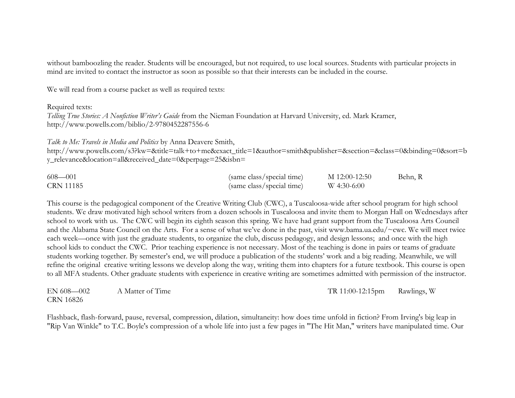without bamboozling the reader. Students will be encouraged, but not required, to use local sources. Students with particular projects in mind are invited to contact the instructor as soon as possible so that their interests can be included in the course.

We will read from a course packet as well as required texts:

## Required texts:

*Telling True Stories: A Nonfiction Writer's Guide* from the Nieman Foundation at Harvard University, ed. Mark Kramer, http://www.powells.com/biblio/2-9780452287556-6

## *Talk to Me: Travels in Media and Politics* by Anna Deavere Smith,

http://www.powells.com/s3?kw=&title=talk+to+me&exact\_title=1&author=smith&publisher=&section=&class=0&binding=0&sort=b y\_relevance&location=all&received\_date=0&perpage=25&isbn=

| $608 - 001$      | (same class/special time) | M 12:00-12:50 | Behn, R |
|------------------|---------------------------|---------------|---------|
| <b>CRN 11185</b> | (same class/special time) | W 4:30-6:00   |         |

This course is the pedagogical component of the Creative Writing Club (CWC), a Tuscaloosa-wide after school program for high school students. We draw motivated high school writers from a dozen schools in Tuscaloosa and invite them to Morgan Hall on Wednesdays after school to work with us. The CWC will begin its eighth season this spring. We have had grant support from the Tuscaloosa Arts Council and the Alabama State Council on the Arts. For a sense of what we've done in the past, visit www.bama.ua.edu/~cwc. We will meet twice each week—once with just the graduate students, to organize the club, discuss pedagogy, and design lessons; and once with the high school kids to conduct the CWC. Prior teaching experience is not necessary. Most of the teaching is done in pairs or teams of graduate students working together. By semester's end, we will produce a publication of the students' work and a big reading. Meanwhile, we will refine the original creative writing lessons we develop along the way, writing them into chapters for a future textbook. This course is open to all MFA students. Other graduate students with experience in creative writing are sometimes admitted with permission of the instructor.

| $EN 608 - 002$ | A Matter of Time | TR 11:00-12:15pm Rawlings, W |  |
|----------------|------------------|------------------------------|--|
| CRN 16826      |                  |                              |  |

Flashback, flash-forward, pause, reversal, compression, dilation, simultaneity: how does time unfold in fiction? From Irving's big leap in "Rip Van Winkle" to T.C. Boyle's compression of a whole life into just a few pages in "The Hit Man," writers have manipulated time. Our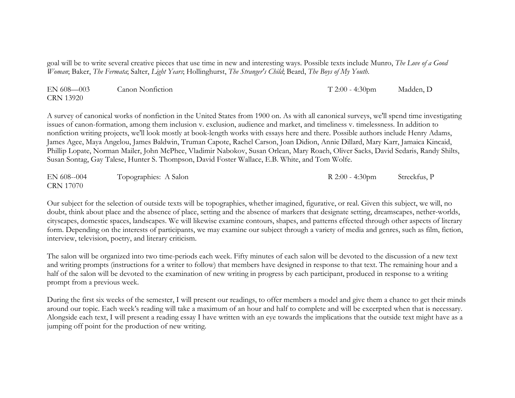goal will be to write several creative pieces that use time in new and interesting ways. Possible texts include Munro, *The Love of a Good Woman*; Baker, *The Fermata*; Salter, *Light Years*; Hollinghurst, *The Stranger's Child*; Beard, *The Boys of My Youth*.

| $EN 608 - 003$   | <b>Canon Nonfiction</b> | $T 2:00 - 4:30$ pm | Madden, D |
|------------------|-------------------------|--------------------|-----------|
| <b>CRN 13920</b> |                         |                    |           |

A survey of canonical works of nonfiction in the United States from 1900 on. As with all canonical surveys, we'll spend time investigating issues of canon-formation, among them inclusion v. exclusion, audience and market, and timeliness v. timelessness. In addition to nonfiction writing projects, we'll look mostly at book-length works with essays here and there. Possible authors include Henry Adams, James Agee, Maya Angelou, James Baldwin, Truman Capote, Rachel Carson, Joan Didion, Annie Dillard, Mary Karr, Jamaica Kincaid, Phillip Lopate, Norman Mailer, John McPhee, Vladimir Nabokov, Susan Orlean, Mary Roach, Oliver Sacks, David Sedaris, Randy Shilts, Susan Sontag, Gay Talese, Hunter S. Thompson, David Foster Wallace, E.B. White, and Tom Wolfe.

| EN 608--004      | Topographies: A Salon | $R$ 2:00 - 4:30pm | Streckfus, P |
|------------------|-----------------------|-------------------|--------------|
| <b>CRN 17070</b> |                       |                   |              |

Our subject for the selection of outside texts will be topographies, whether imagined, figurative, or real. Given this subject, we will, no doubt, think about place and the absence of place, setting and the absence of markers that designate setting, dreamscapes, nether-worlds, cityscapes, domestic spaces, landscapes. We will likewise examine contours, shapes, and patterns effected through other aspects of literary form. Depending on the interests of participants, we may examine our subject through a variety of media and genres, such as film, fiction, interview, television, poetry, and literary criticism.

The salon will be organized into two time-periods each week. Fifty minutes of each salon will be devoted to the discussion of a new text and writing prompts (instructions for a writer to follow) that members have designed in response to that text. The remaining hour and a half of the salon will be devoted to the examination of new writing in progress by each participant, produced in response to a writing prompt from a previous week.

During the first six weeks of the semester, I will present our readings, to offer members a model and give them a chance to get their minds around our topic. Each week's reading will take a maximum of an hour and half to complete and will be excerpted when that is necessary. Alongside each text, I will present a reading essay I have written with an eye towards the implications that the outside text might have as a jumping off point for the production of new writing.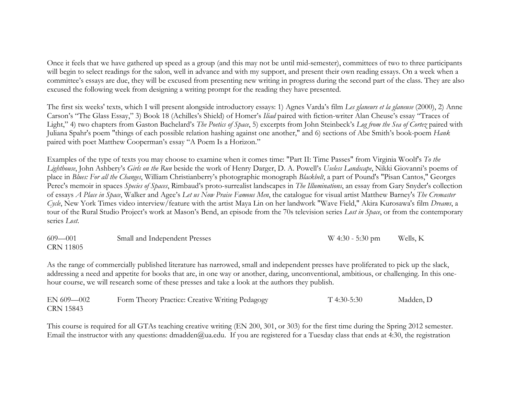Once it feels that we have gathered up speed as a group (and this may not be until mid-semester), committees of two to three participants will begin to select readings for the salon, well in advance and with my support, and present their own reading essays. On a week when a committee's essays are due, they will be excused from presenting new writing in progress during the second part of the class. They are also excused the following week from designing a writing prompt for the reading they have presented.

The first six weeks' texts, which I will present alongside introductory essays: 1) Agnes Varda's film *Les glaneurs et la glaneuse* (2000), 2) Anne Carson's "The Glass Essay," 3) Book 18 (Achilles's Shield) of Homer's *Iliad* paired with fiction-writer Alan Cheuse's essay "Traces of Light," 4) two chapters from Gaston Bachelard's *The Poetics of Space*, 5) excerpts from John Steinbeck's *Log from the Sea of Cortez* paired with Juliana Spahr's poem "things of each possible relation hashing against one another," and 6) sections of Abe Smith's book-poem *Hank* paired with poet Matthew Cooperman's essay "A Poem Is a Horizon."

Examples of the type of texts you may choose to examine when it comes time: "Part II: Time Passes" from Virginia Woolf's *To the Lighthouse*, John Ashbery's *Girls on the Run* beside the work of Henry Darger, D. A. Powell's *Useless Landscape*, Nikki Giovanni's poems of place in *Blues: For all the Changes*, William Christianberry's photographic monograph *Blackbelt*, a part of Pound's "Pisan Cantos," Georges Perec's memoir in spaces *Species of Spaces*, Rimbaud's proto-surrealist landscapes in *The Illuminations*, an essay from Gary Snyder's collection of essays *A Place in Space*, Walker and Agee's *Let us Now Praise Famous Men*, the catalogue for visual artist Matthew Barney's *The Cremaster Cycle*, New York Times video interview/feature with the artist Maya Lin on her landwork "Wave Field," Akira Kurosawa's film *Dreams*, a tour of the Rural Studio Project's work at Mason's Bend, an episode from the 70s television series *Lost in Space*, or from the contemporary series *Lost*.

| $609 - 001$      | Small and Independent Presses | $W$ 4:30 - 5:30 pm | Wells, K |
|------------------|-------------------------------|--------------------|----------|
| <b>CRN 11805</b> |                               |                    |          |

As the range of commercially published literature has narrowed, small and independent presses have proliferated to pick up the slack, addressing a need and appetite for books that are, in one way or another, daring, unconventional, ambitious, or challenging. In this onehour course, we will research some of these presses and take a look at the authors they publish.

| $EN 609 - 002$   | Form Theory Practice: Creative Writing Pedagogy | $T$ 4:30-5:30 | Madden, D |
|------------------|-------------------------------------------------|---------------|-----------|
| <b>CRN 15843</b> |                                                 |               |           |

This course is required for all GTAs teaching creative writing (EN 200, 301, or 303) for the first time during the Spring 2012 semester. Email the instructor with any questions: dmadden@ua.edu. If you are registered for a Tuesday class that ends at 4:30, the registration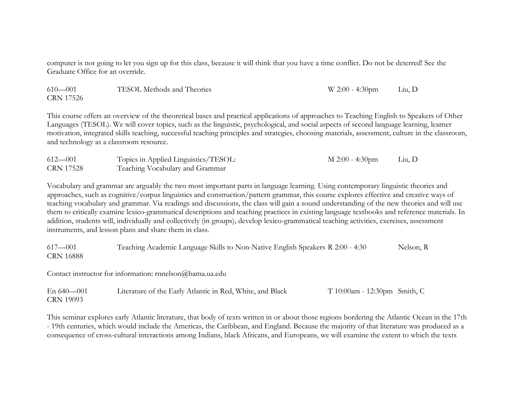computer is not going to let you sign up for this class, because it will think that you have a time conflict. Do not be deterred! See the Graduate Office for an override.

| $610 - 001$ | TESOL Methods and Theories | $W 2:00 - 4:30 \text{pm}$ | Liu, D |
|-------------|----------------------------|---------------------------|--------|
| CRN 17526   |                            |                           |        |

This course offers an overview of the theoretical bases and practical applications of approaches to Teaching English to Speakers of Other Languages (TESOL). We will cover topics, such as the linguistic, psychological, and social aspects of second language learning, learner motivation, integrated skills teaching, successful teaching principles and strategies, choosing materials, assessment, culture in the classroom, and technology as a classroom resource.

| $612 - 001$ | Topics in Applied Linguistics/TESOL: | M 2:00 - 4:30pm | Liu, D |
|-------------|--------------------------------------|-----------------|--------|
| CRN 17528   | Teaching Vocabulary and Grammar      |                 |        |

Vocabulary and grammar are arguably the two most important parts in language learning. Using contemporary linguistic theories and approaches, such as cognitive/corpus linguistics and construction/pattern grammar, this course explores effective and creative ways of teaching vocabulary and grammar. Via readings and discussions, the class will gain a sound understanding of the new theories and will use them to critically examine lexico-grammatical descriptions and teaching practices in existing language textbooks and reference materials. In addition, students will, individually and collectively (in groups), develop lexico-grammatical teaching activities, exercises, assessment instruments, and lesson plans and share them in class.

617—001 Teaching Academic Language Skills to Non-Native English Speakers R 2:00 - 4:30 Nelson, R CRN 16888

Contact instructor for information: rnnelson@bama.ua.edu

| En $640 - 001$   | Literature of the Early Atlantic in Red, White, and Black | $T10:00$ am - 12:30pm Smith, C |  |
|------------------|-----------------------------------------------------------|--------------------------------|--|
| <b>CRN 19093</b> |                                                           |                                |  |

This seminar explores early Atlantic literature, that body of texts written in or about those regions bordering the Atlantic Ocean in the 17th - 19th centuries, which would include the Americas, the Caribbean, and England. Because the majority of that literature was produced as a consequence of cross-cultural interactions among Indians, black Africans, and Europeans, we will examine the extent to which the texts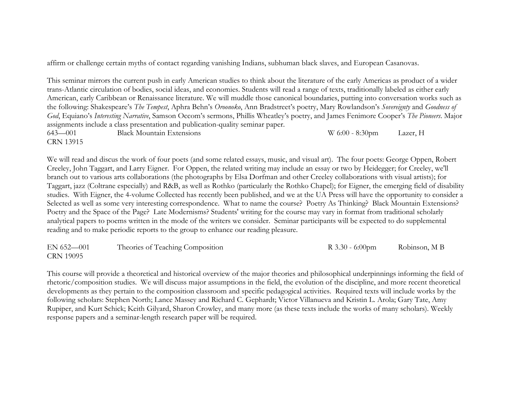affirm or challenge certain myths of contact regarding vanishing Indians, subhuman black slaves, and European Casanovas.

This seminar mirrors the current push in early American studies to think about the literature of the early Americas as product of a wider trans-Atlantic circulation of bodies, social ideas, and economies. Students will read a range of texts, traditionally labeled as either early American, early Caribbean or Renaissance literature. We will muddle those canonical boundaries, putting into conversation works such as the following: Shakespeare's *The Tempest*, Aphra Behn's *Oroonoko*, Ann Bradstreet's poetry, Mary Rowlandson's *Sovereignty* and *Goodness of God*, Equiano's *Interesting Narrative*, Samson Occom's sermons, Phillis Wheatley's poetry, and James Fenimore Cooper's *The Pioneers*. Major assignments include a class presentation and publication-quality seminar paper. 643—001 Black Mountain Extensions W 6:00 - 8:30pm Lazer, H

CRN 13915

We will read and discus the work of four poets (and some related essays, music, and visual art). The four poets: George Oppen, Robert Creeley, John Taggart, and Larry Eigner. For Oppen, the related writing may include an essay or two by Heidegger; for Creeley, we'll branch out to various arts collaborations (the photographs by Elsa Dorfman and other Creeley collaborations with visual artists); for Taggart, jazz (Coltrane especially) and R&B, as well as Rothko (particularly the Rothko Chapel); for Eigner, the emerging field of disability studies. With Eigner, the 4-volume Collected has recently been published, and we at the UA Press will have the opportunity to consider a Selected as well as some very interesting correspondence. What to name the course? Poetry As Thinking? Black Mountain Extensions? Poetry and the Space of the Page? Late Modernisms? Students' writing for the course may vary in format from traditional scholarly analytical papers to poems written in the mode of the writers we consider. Seminar participants will be expected to do supplemental reading and to make periodic reports to the group to enhance our reading pleasure.

EN 652—001 Theories of Teaching Composition R 3.30 - 6:00pm Robinson, M B CRN 19095

This course will provide a theoretical and historical overview of the major theories and philosophical underpinnings informing the field of rhetoric/composition studies. We will discuss major assumptions in the field, the evolution of the discipline, and more recent theoretical developments as they pertain to the composition classroom and specific pedagogical activities. Required texts will include works by the following scholars: Stephen North; Lance Massey and Richard C. Gephardt; Victor Villanueva and Kristin L. Arola; Gary Tate, Amy Rupiper, and Kurt Schick; Keith Gilyard, Sharon Crowley, and many more (as these texts include the works of many scholars). Weekly response papers and a seminar-length research paper will be required.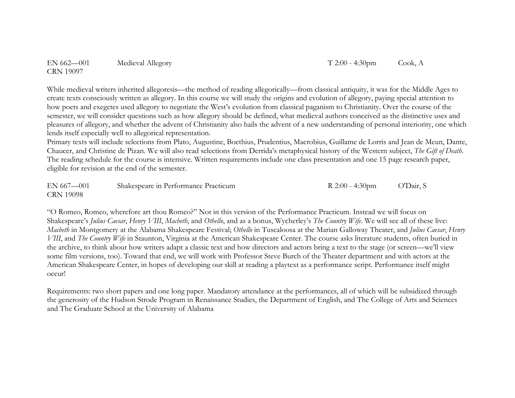EN 662—001 Medieval Allegory T 2:00 - 4:30pm Cook, A CRN 19097

While medieval writers inherited allegoresis—the method of reading allegorically—from classical antiquity, it was for the Middle Ages to create texts consciously written as allegory. In this course we will study the origins and evolution of allegory, paying special attention to how poets and exegetes used allegory to negotiate the West's evolution from classical paganism to Christianity. Over the course of the semester, we will consider questions such as how allegory should be defined, what medieval authors conceived as the distinctive uses and pleasures of allegory, and whether the advent of Christianity also hails the advent of a new understanding of personal interiority, one which lends itself especially well to allegorical representation.

Primary texts will include selections from Plato, Augustine, Boethius, Prudentius, Macrobius, Guillame de Lorris and Jean de Meun, Dante, Chaucer, and Christine de Pizan. We will also read selections from Derrida's metaphysical history of the Western subject, *The Gift of Death*. The reading schedule for the course is intensive. Written requirements include one class presentation and one 15 page research paper, eligible for revision at the end of the semester.

| $EN 667 - 001$   | Shakespeare in Performance Practicum | R $2:00 - 4:30$ pm | O'Dair, S |
|------------------|--------------------------------------|--------------------|-----------|
| <b>CRN 19098</b> |                                      |                    |           |

"O Romeo, Romeo, wherefore art thou Romeo?" Not in this version of the Performance Practicum. Instead we will focus on Shakespeare's *Julius Caesar*, *Henry VIII*, *Macbeth*, and *Othello*, and as a bonus, Wycherley's *The Country Wife*. We will see all of these live: *Macbeth* in Montgomery at the Alabama Shakespeare Festival; *Othello* in Tuscaloosa at the Marian Galloway Theater, and *Julius Caesar*, *Henry VIII*, and *The Country Wife* in Staunton, Virginia at the American Shakespeare Center. The course asks literature students, often buried in the archive, to think about how writers adapt a classic text and how directors and actors bring a text to the stage (or screen—we'll view some film versions, too). Toward that end, we will work with Professor Steve Burch of the Theater department and with actors at the American Shakespeare Center, in hopes of developing our skill at reading a playtext as a performance script. Performance itself might occur!

Requirements: two short papers and one long paper. Mandatory attendance at the performances, all of which will be subsidized through the generosity of the Hudson Strode Program in Renaissance Studies, the Department of English, and The College of Arts and Sciences and The Graduate School at the University of Alabama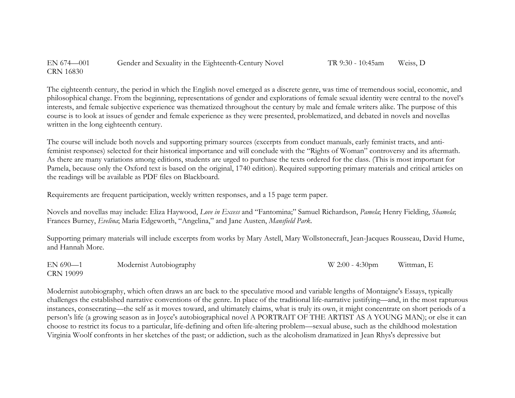EN 674—001 Gender and Sexuality in the Eighteenth-Century Novel TR 9:30 - 10:45am Weiss, D CRN 16830

The eighteenth century, the period in which the English novel emerged as a discrete genre, was time of tremendous social, economic, and philosophical change. From the beginning, representations of gender and explorations of female sexual identity were central to the novel's interests, and female subjective experience was thematized throughout the century by male and female writers alike. The purpose of this course is to look at issues of gender and female experience as they were presented, problematized, and debated in novels and novellas written in the long eighteenth century.

The course will include both novels and supporting primary sources (excerpts from conduct manuals, early feminist tracts, and antifeminist responses) selected for their historical importance and will conclude with the "Rights of Woman" controversy and its aftermath. As there are many variations among editions, students are urged to purchase the texts ordered for the class. (This is most important for Pamela, because only the Oxford text is based on the original, 1740 edition). Required supporting primary materials and critical articles on the readings will be available as PDF files on Blackboard.

Requirements are frequent participation, weekly written responses, and a 15 page term paper.

Novels and novellas may include: Eliza Haywood, *Love in Excess* and "Fantomina;" Samuel Richardson, *Pamela*; Henry Fielding, *Shamela*; Frances Burney, *Evelina*; Maria Edgeworth, "Angelina," and Jane Austen, *Mansfield Park*.

Supporting primary materials will include excerpts from works by Mary Astell, Mary Wollstonecraft, Jean-Jacques Rousseau, David Hume, and Hannah More.

EN 690—1 Modernist Autobiography W 2:00 - 4:30pm Wittman, E CRN 19099

Modernist autobiography, which often draws an arc back to the speculative mood and variable lengths of Montaigne's Essays, typically challenges the established narrative conventions of the genre. In place of the traditional life-narrative justifying—and, in the most rapturous instances, consecrating—the self as it moves toward, and ultimately claims, what is truly its own, it might concentrate on short periods of a person's life (a growing season as in Joyce's autobiographical novel A PORTRAIT OF THE ARTIST AS A YOUNG MAN); or else it can choose to restrict its focus to a particular, life-defining and often life-altering problem—sexual abuse, such as the childhood molestation Virginia Woolf confronts in her sketches of the past; or addiction, such as the alcoholism dramatized in Jean Rhys's depressive but